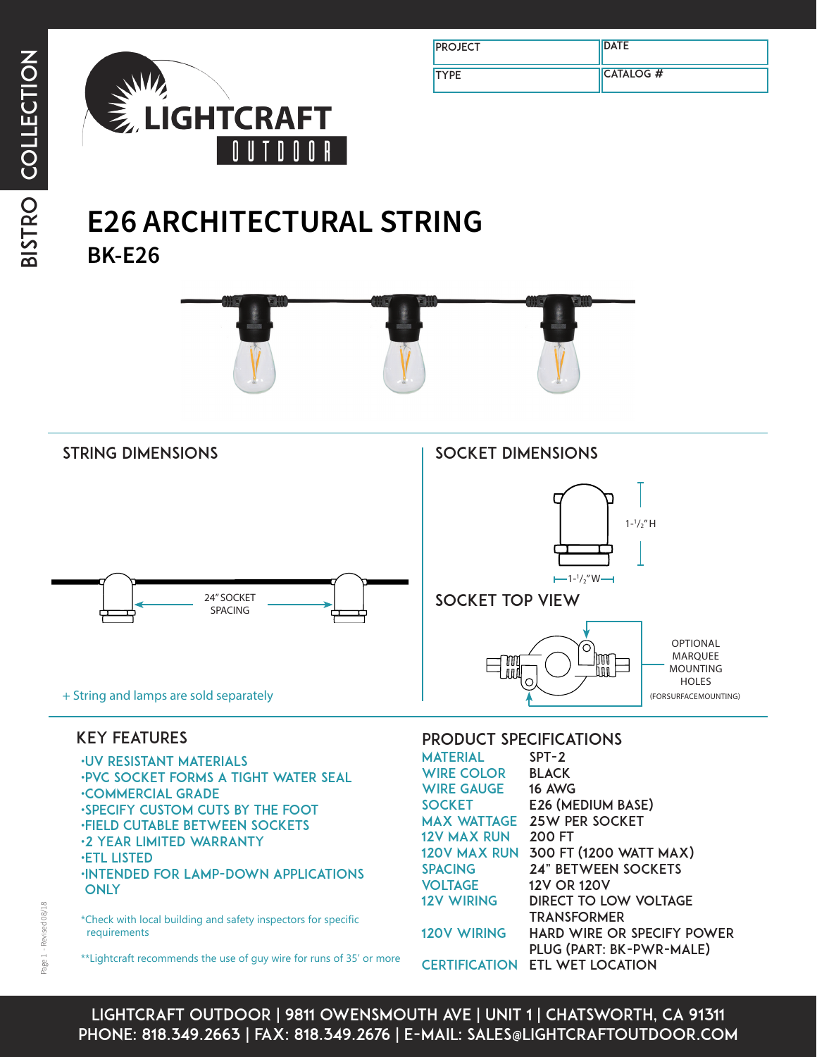

| <b>PROJECT</b> | <b>DATE</b>      |
|----------------|------------------|
| <b>TYPE</b>    | <b>CATALOG #</b> |

# **BK-E26 E26 ARCHITECTURAL STRING**





## key features

•uv resistant materials •pvc socket forms a tight water seal •commercial grade •specify custom cuts by the foot •field cutable between sockets •2 year limited warranty •ETL LISTED •Intended for lamp-down applications **ONLY** 

\*Check with local building and safety inspectors for specific requirements

\*\*Lightcraft recommends the use of guy wire for runs of 35' or more

#### product specificationS

| <b>MATERIAL</b>      | $SPT-2$                             |
|----------------------|-------------------------------------|
| WIRE COLOR           | <b>BLACK</b>                        |
| <b>WIRE GAUGE</b>    | <b>16 AWG</b>                       |
| <b>SOCKET</b>        | E26 (MEDIUM BASE)                   |
| <b>MAX WATTAGE</b>   | <b>25W PER SOCKET</b>               |
| <b>12V MAX RUN</b>   | <b>200 FT</b>                       |
|                      | 120V MAX RUN 300 FT (1200 WATT MAX) |
| <b>SPACING</b>       | <b>24" BETWEEN SOCKETS</b>          |
| <b>VOLTAGE</b>       | <b>12V OR 120V</b>                  |
| <b>12V WIRING</b>    | <b>DIRECT TO LOW VOLTAGE</b>        |
|                      | <b>TRANSFORMER</b>                  |
| <b>120V WIRING</b>   | <b>HARD WIRE OR SPECIFY POWER</b>   |
|                      | PLUG (PART: BK-PWR-MALE)            |
| <b>CERTIFICATION</b> | <b>ETL WET LOCATION</b>             |

lightcraft outdoor | 9811 owensmouth ave | unit 1 | chatsworth, ca 91311 phone: 818.349.2663 | fax: 818.349.2676 | e-mail: sales@lightcraftoutdoor.com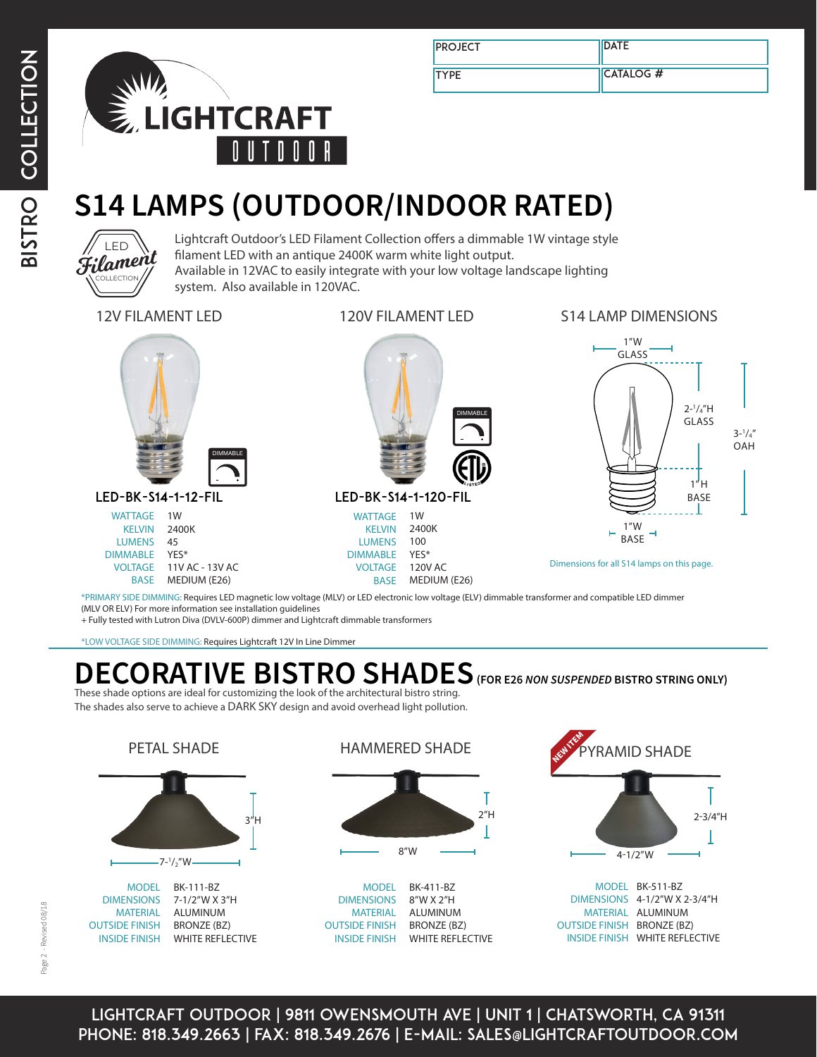

| <b>PROJECT</b> | <b>IDATE</b>     |
|----------------|------------------|
| <b>TYPE</b>    | <b>CATALOG #</b> |

# **S14 LAMPS (OUTDOOR/INDOOR RATED)**



Lightcraft Outdoor's LED Filament Collection offers a dimmable 1W vintage style filament LED with an antique 2400K warm white light output. Available in 12VAC to easily integrate with your low voltage landscape lighting system. Also available in 120VAC.

12V FILAMENT LED 120V FILAMENT LED S14 LAMP DIMENSIONS



LED-BK-S14-1-12-FIL

WATTAGE 1W 2400K 45 YES\* VOLTAGE 11V AC - 13V AC BASE MEDIUM (E26) KELVIN LUMENS DIMMABLE



120V AC MEDIUM (E26)



Dimensions for all S14 lamps on this page.

BASE \*PRIMARY SIDE DIMMING: Requires LED magnetic low voltage (MLV) or LED electronic low voltage (ELV) dimmable transformer and compatible LED dimmer (MLV OR ELV) For more information see installation guidelines

VOLTAGE

+ Fully tested with Lutron Diva (DVLV-600P) dimmer and Lightcraft dimmable transformers

\*LOW VOLTAGE SIDE DIMMING: Requires Lightcraft 12V In Line Dimmer

## **DECORATIVE BISTRO SHADES (FOR E26** *NON SUSPENDED* **BISTRO STRING ONLY)** These shade options are ideal for customizing the look of the architectural bistro string.

The shades also serve to achieve a DARK SKY design and avoid overhead light pollution.





OUTSIDE FINISH INSIDE FINISH BRONZE (BZ) WHITE REFLECTIVE HAMMERED SHADE



BK-411-BZ 8"W X 2"H ALUMINUM BRONZE (BZ) INSIDE FINISH WHITE REFLECTIVE MODEL DIMENSIONS MATERIAL OUTSIDE FINISH



MODEL BK-511-BZ DIMENSIONS 4-1/2"W X 2-3/4"H MATERIAL ALUMINUM OUTSIDE FINISH BRONZE (BZ) INSIDE FINISH WHITE REFLECTIVE

lightcraft outdoor | 9811 owensmouth ave | unit 1 | chatsworth, ca 91311 phone: 818.349.2663 | fax: 818.349.2676 | e-mail: sales@lightcraftoutdoor.com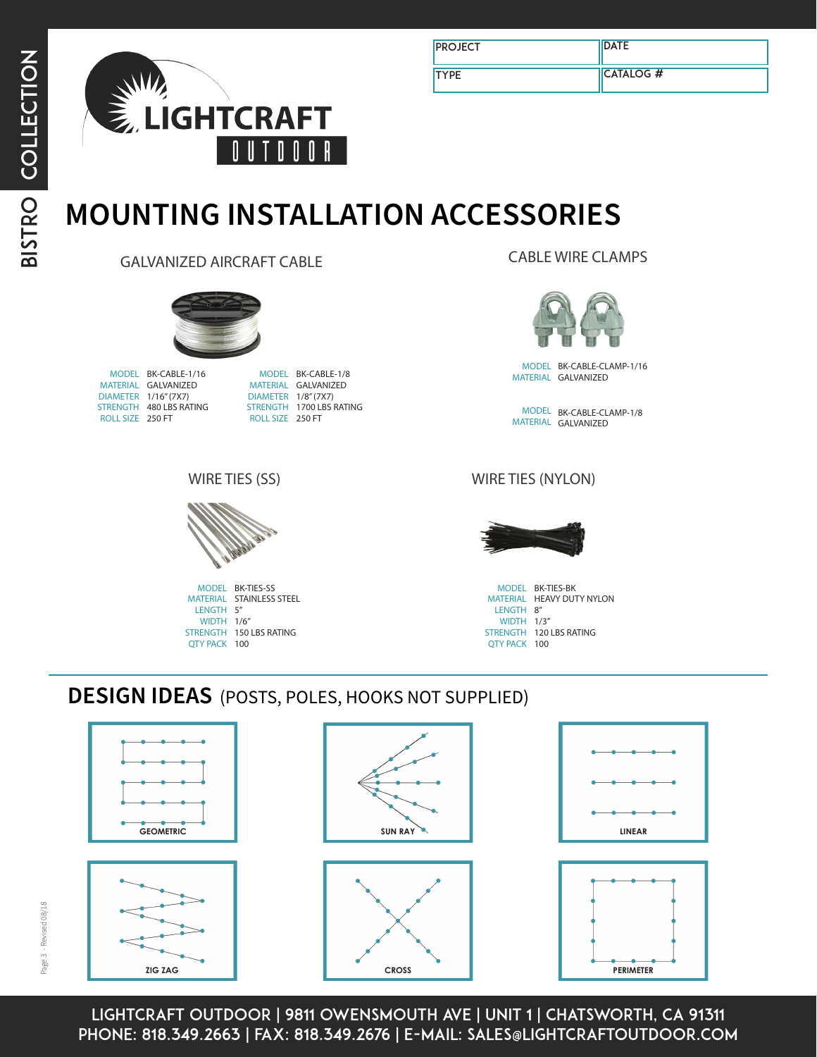

| <b>PROJECT</b> | <b>DATE</b>      |
|----------------|------------------|
| <b>TYPE</b>    | <b>CATALOG #</b> |

#### **MOUNTING INSTALLATION ACCESSORIES** ITIV TIVO IZ NEEZ ( **ACCE** iSORII

GALVANIZED AIRCRAFT CABLE



MODEL BK-CABLE-1/16 MODEL B MATERIAL GALVANIZED DIAMETER 1/16" (7X7) STRENGTH 480 LBS RATING ROLL SIZE 250 FT

MODEL BK-CABLE-1/8 **ALVANIZED DIAMETER 1/8" (7X7)** DIAMETER 178" (7X7)<br>STRENGTH 1700 LBS RATING  $\equiv 250 \text{ FT}$ **MODEL BR-CABLE-174 ROLL SIZE** 250 FT

CABLE WIRE CLAMPS



MATERIAL GALVANIZED MODEL BK-CABLE-CLAMP-1/16

> MODEL BK-CABLE-CLAMP-1/8 MATERIAL GALVANIZED

#### WIRE TIES (SS) **MODEL**  $\mathcal{L}$



MODEL BK-TIES-SS<br>MATERIAL STAINLESS STEEL **STRENGTH 150 LBS RATING** QTY PACK 100 MODEL BK-TIES-SS<br>MATERIAL STAINLESS S WIDTH 1/6"<br>**STRENGTH 150 LBS RATING** end-man<br>WIDTH 1/6" LENGTH 5"

**ROLL SIZE**

 $\overline{\phantom{a}}$ 

#### WIRE TIES (SS)<br>WIRE TIES (SS) **MODEL** (LED-BK-S14-1-12 SHOWN)



MATERIAL HEAVY DUTY NYLON WIDIH 1/3"<br>STRENGTH 120 LBS RATING **WIDTH 1/3"** QTY PACK 100 12V: ADDITIONAL LEAD WIRE AVAILABLE PER FOOT (BK-LEAD) 120V: ADDITIONAL 8 FT POWER PLUG AVAILABLE (BK-PWR-MALE) MODEL BK-TIES-BK<br>MATERIAL HEAVY DUT LENGTH 8"

100

**QTY PACK**

100

**QTY PACK**

 $\overline{\phantom{a}}$ 

**ROLL SIZE**

#### **DESIGN IDEAS** (POSTS, POLES, HOOKS NOT SUPPLIED) **DIMMABLE** NO S NOT SUPPLIED)



**QTY PACK**

100

LIGHTCRAFT OUTDOOR | 9811 OWENSMOUTH AVE | UNIT 1 | CHATSWORTH, CA 91311 phone: 818.349.2663 | fax: 818.349.2676 | e-mail: sales@lightcraftoutdoor.com